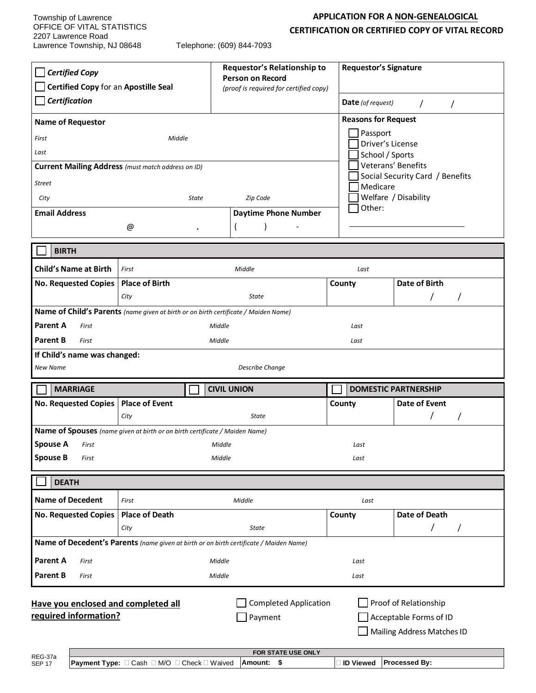Township of Lawrence OFFICE OF VITAL STATISTICS 2207 Lawrence Road Lawrence Township, NJ 08648 Telephone: (609) 844-7093

## **APPLICATION FOR A NON-GENEALOGICAL CERTIFICATION OR CERTIFIED COPY OF VITAL RECORD**

| <b>Certified Copy</b><br>Certified Copy for an Apostille Seal                                                                                                                                                                    |                                                                             | Requestor's Relationship to<br><b>Person on Record</b> | <b>Requestor's Signature</b> |                                                       |  |
|----------------------------------------------------------------------------------------------------------------------------------------------------------------------------------------------------------------------------------|-----------------------------------------------------------------------------|--------------------------------------------------------|------------------------------|-------------------------------------------------------|--|
| Certification                                                                                                                                                                                                                    |                                                                             | (proof is required for certified copy)                 | <b>Date</b> (of request)     |                                                       |  |
|                                                                                                                                                                                                                                  |                                                                             |                                                        |                              | $\prime$                                              |  |
| <b>Name of Requestor</b>                                                                                                                                                                                                         |                                                                             | Passport                                               | <b>Reasons for Request</b>   |                                                       |  |
| First                                                                                                                                                                                                                            | Middle                                                                      | Driver's License                                       |                              |                                                       |  |
| Last                                                                                                                                                                                                                             |                                                                             |                                                        | School / Sports              |                                                       |  |
| Current Mailing Address (must match address on ID)                                                                                                                                                                               |                                                                             |                                                        |                              | Veterans' Benefits<br>Social Security Card / Benefits |  |
| <b>Street</b>                                                                                                                                                                                                                    |                                                                             |                                                        | Medicare                     |                                                       |  |
| <b>State</b><br>Zip Code<br>City                                                                                                                                                                                                 |                                                                             |                                                        | Welfare / Disability         |                                                       |  |
| <b>Email Address</b>                                                                                                                                                                                                             |                                                                             | <b>Daytime Phone Number</b>                            | Other:                       |                                                       |  |
|                                                                                                                                                                                                                                  | @                                                                           |                                                        |                              |                                                       |  |
| <b>BIRTH</b>                                                                                                                                                                                                                     |                                                                             |                                                        |                              |                                                       |  |
| <b>Child's Name at Birth</b>                                                                                                                                                                                                     | First                                                                       | Middle                                                 | Last                         |                                                       |  |
| No. Requested Copies                                                                                                                                                                                                             | <b>Place of Birth</b>                                                       |                                                        | County                       | Date of Birth                                         |  |
|                                                                                                                                                                                                                                  | City                                                                        | State                                                  |                              | 7                                                     |  |
| Name of Child's Parents (name given at birth or on birth certificate / Maiden Name)                                                                                                                                              |                                                                             |                                                        |                              |                                                       |  |
| Parent A<br>First<br>Middle<br>Last                                                                                                                                                                                              |                                                                             |                                                        |                              |                                                       |  |
| <b>Parent B</b><br>First                                                                                                                                                                                                         | Middle<br>Last                                                              |                                                        |                              |                                                       |  |
| If Child's name was changed:                                                                                                                                                                                                     |                                                                             |                                                        |                              |                                                       |  |
| <b>New Name</b>                                                                                                                                                                                                                  |                                                                             | <b>Describe Change</b>                                 |                              |                                                       |  |
| <b>MARRIAGE</b>                                                                                                                                                                                                                  |                                                                             | <b>CIVIL UNION</b>                                     |                              | <b>DOMESTIC PARTNERSHIP</b>                           |  |
| <b>No. Requested Copies</b>                                                                                                                                                                                                      | <b>Place of Event</b>                                                       |                                                        | County                       | Date of Event                                         |  |
|                                                                                                                                                                                                                                  | City                                                                        | <b>State</b>                                           |                              |                                                       |  |
|                                                                                                                                                                                                                                  | Name of Spouses (name given at birth or on birth certificate / Maiden Name) |                                                        |                              |                                                       |  |
| <b>Spouse A</b> First                                                                                                                                                                                                            |                                                                             | Middle                                                 | Last                         |                                                       |  |
| <b>Spouse B</b><br>First                                                                                                                                                                                                         |                                                                             | Middle                                                 | Last                         |                                                       |  |
| <b>DEATH</b>                                                                                                                                                                                                                     |                                                                             |                                                        |                              |                                                       |  |
| <b>Name of Decedent</b>                                                                                                                                                                                                          | First                                                                       | Middle                                                 | Last                         |                                                       |  |
| <b>No. Requested Copies</b>                                                                                                                                                                                                      | <b>Place of Death</b>                                                       |                                                        | County                       | Date of Death                                         |  |
|                                                                                                                                                                                                                                  | City                                                                        | <b>State</b>                                           |                              | T                                                     |  |
| Name of Decedent's Parents (name given at birth or on birth certificate / Maiden Name)                                                                                                                                           |                                                                             |                                                        |                              |                                                       |  |
| <b>Parent A</b><br>First                                                                                                                                                                                                         |                                                                             | Middle                                                 | Last                         |                                                       |  |
| <b>Parent B</b><br>First                                                                                                                                                                                                         |                                                                             | Middle                                                 | Last                         |                                                       |  |
| <b>Completed Application</b><br>Proof of Relationship<br>Have you enclosed and completed all<br>required information?<br>$\Box$ Payment<br>Acceptable Forms of ID<br>Mailing Address Matches ID<br>FOR STATE USE ONLY<br>REG-37a |                                                                             |                                                        |                              |                                                       |  |